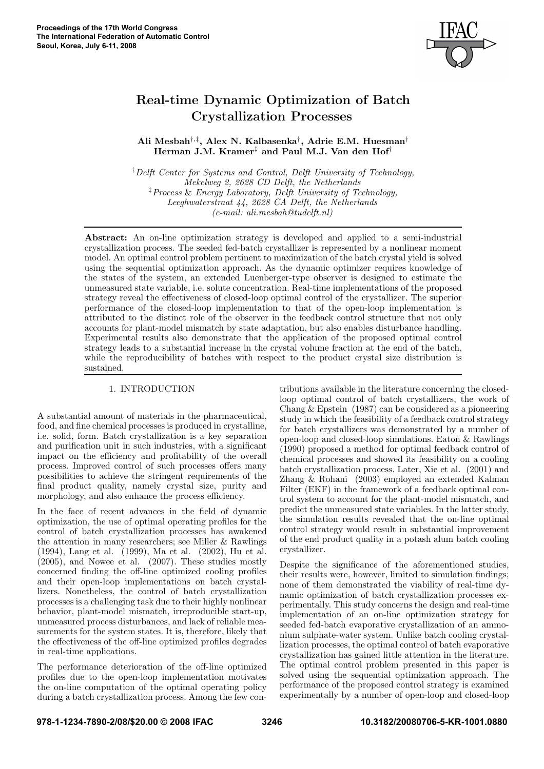

# Real-time Dynamic Optimization of Batch Crystallization Processes

Ali Mesbah<sup>†,‡</sup>, Alex N. Kalbasenka<sup>†</sup>, Adrie E.M. Huesman<sup>†</sup> Herman J.M. Kramer ‡ and Paul M.J. Van den Hof †

†Delft Center for Systems and Control, Delft University of Technology, Mekelweg 2, 2628 CD Delft, the Netherlands ‡Process & Energy Laboratory, Delft University of Technology, Leeghwaterstraat 44, 2628 CA Delft, the Netherlands (e-mail: ali.mesbah@tudelft.nl)

Abstract: An on-line optimization strategy is developed and applied to a semi-industrial crystallization process. The seeded fed-batch crystallizer is represented by a nonlinear moment model. An optimal control problem pertinent to maximization of the batch crystal yield is solved using the sequential optimization approach. As the dynamic optimizer requires knowledge of the states of the system, an extended Luenberger-type observer is designed to estimate the unmeasured state variable, i.e. solute concentration. Real-time implementations of the proposed strategy reveal the effectiveness of closed-loop optimal control of the crystallizer. The superior performance of the closed-loop implementation to that of the open-loop implementation is attributed to the distinct role of the observer in the feedback control structure that not only accounts for plant-model mismatch by state adaptation, but also enables disturbance handling. Experimental results also demonstrate that the application of the proposed optimal control strategy leads to a substantial increase in the crystal volume fraction at the end of the batch, while the reproducibility of batches with respect to the product crystal size distribution is sustained.

### 1. INTRODUCTION

A substantial amount of materials in the pharmaceutical, food, and fine chemical processes is produced in crystalline, i.e. solid, form. Batch crystallization is a key separation and purification unit in such industries, with a significant impact on the efficiency and profitability of the overall process. Improved control of such processes offers many possibilities to achieve the stringent requirements of the final product quality, namely crystal size, purity and morphology, and also enhance the process efficiency.

In the face of recent advances in the field of dynamic optimization, the use of optimal operating profiles for the control of batch crystallization processes has awakened the attention in many researchers; see Miller & Rawlings (1994), Lang et al. (1999), Ma et al. (2002), Hu et al. (2005), and Nowee et al. (2007). These studies mostly concerned finding the off-line optimized cooling profiles and their open-loop implementations on batch crystallizers. Nonetheless, the control of batch crystallization processes is a challenging task due to their highly nonlinear behavior, plant-model mismatch, irreproducible start-up, unmeasured process disturbances, and lack of reliable measurements for the system states. It is, therefore, likely that the effectiveness of the off-line optimized profiles degrades in real-time applications.

The performance deterioration of the off-line optimized profiles due to the open-loop implementation motivates the on-line computation of the optimal operating policy during a batch crystallization process. Among the few contributions available in the literature concerning the closedloop optimal control of batch crystallizers, the work of Chang & Epstein (1987) can be considered as a pioneering study in which the feasibility of a feedback control strategy for batch crystallizers was demonstrated by a number of open-loop and closed-loop simulations. Eaton & Rawlings (1990) proposed a method for optimal feedback control of chemical processes and showed its feasibility on a cooling batch crystallization process. Later, Xie et al. (2001) and Zhang & Rohani (2003) employed an extended Kalman Filter (EKF) in the framework of a feedback optimal control system to account for the plant-model mismatch, and predict the unmeasured state variables. In the latter study, the simulation results revealed that the on-line optimal control strategy would result in substantial improvement of the end product quality in a potash alum batch cooling crystallizer.

Despite the significance of the aforementioned studies, their results were, however, limited to simulation findings; none of them demonstrated the viability of real-time dynamic optimization of batch crystallization processes experimentally. This study concerns the design and real-time implementation of an on-line optimization strategy for seeded fed-batch evaporative crystallization of an ammonium sulphate-water system. Unlike batch cooling crystallization processes, the optimal control of batch evaporative crystallization has gained little attention in the literature. The optimal control problem presented in this paper is solved using the sequential optimization approach. The performance of the proposed control strategy is examined experimentally by a number of open-loop and closed-loop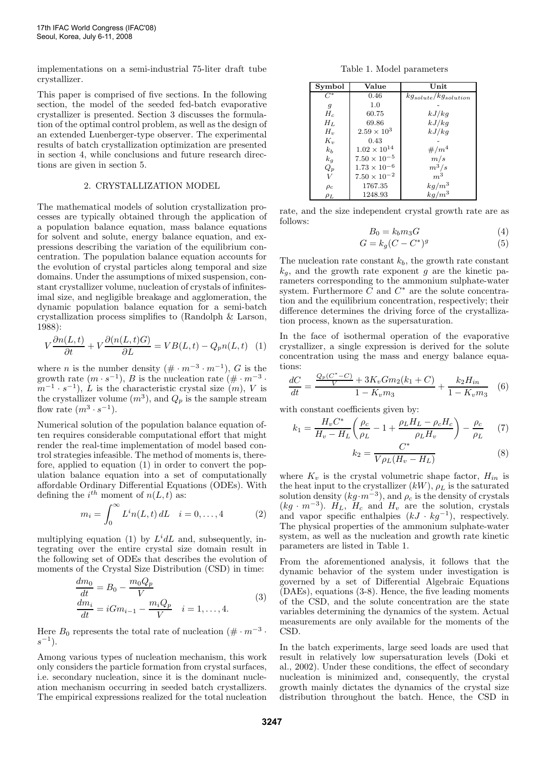implementations on a semi-industrial 75-liter draft tube crystallizer.

This paper is comprised of five sections. In the following section, the model of the seeded fed-batch evaporative crystallizer is presented. Section 3 discusses the formulation of the optimal control problem, as well as the design of an extended Luenberger-type observer. The experimental results of batch crystallization optimization are presented in section 4, while conclusions and future research directions are given in section 5.

#### 2. CRYSTALLIZATION MODEL

The mathematical models of solution crystallization processes are typically obtained through the application of a population balance equation, mass balance equations for solvent and solute, energy balance equation, and expressions describing the variation of the equilibrium concentration. The population balance equation accounts for the evolution of crystal particles along temporal and size domains. Under the assumptions of mixed suspension, constant crystallizer volume, nucleation of crystals of infinitesimal size, and negligible breakage and agglomeration, the dynamic population balance equation for a semi-batch crystallization process simplifies to (Randolph & Larson, 1988):

$$
V\frac{\partial n(L,t)}{\partial t} + V\frac{\partial (n(L,t)G)}{\partial L} = VB(L,t) - Q_p n(L,t) \quad (1)
$$

where *n* is the number density  $(\text{#} \cdot m^{-3} \cdot m^{-1})$ , *G* is the growth rate  $(m \cdot s^{-1})$ , B is the nucleation rate  $(\text{#} \cdot m^{-3} \cdot \text{#})$  $(m^{-1} \cdot s^{-1})$ , L is the characteristic crystal size  $(m)$ , V is the crystallizer volume  $(m^3)$ , and  $Q_p$  is the sample stream flow rate  $(m^3 \cdot s^{-1})$ .

Numerical solution of the population balance equation often requires considerable computational effort that might render the real-time implementation of model based control strategies infeasible. The method of moments is, therefore, applied to equation (1) in order to convert the population balance equation into a set of computationally affordable Ordinary Differential Equations (ODEs). With defining the  $i^{th}$  moment of  $n(L, t)$  as:

$$
m_i = \int_0^\infty L^i n(L, t) \, dL \quad i = 0, \dots, 4 \tag{2}
$$

multiplying equation (1) by  $L^i dL$  and, subsequently, integrating over the entire crystal size domain result in the following set of ODEs that describes the evolution of moments of the Crystal Size Distribution (CSD) in time:

$$
\frac{dm_0}{dt} = B_0 - \frac{m_0 Q_p}{V}
$$
\n
$$
\frac{dm_i}{dt} = iGm_{i-1} - \frac{m_i Q_p}{V} \quad i = 1, ..., 4.
$$
\n(3)

Here  $B_0$  represents the total rate of nucleation  $(\text{#} \cdot \text{m}^{-3} \cdot \text{]}$  $s^{-1}$ ).

Among various types of nucleation mechanism, this work only considers the particle formation from crystal surfaces, i.e. secondary nucleation, since it is the dominant nucleation mechanism occurring in seeded batch crystallizers. The empirical expressions realized for the total nucleation

Table 1. Model parameters

| Symbol   | Value                 | Unit                        |  |
|----------|-----------------------|-----------------------------|--|
| $C^*$    | 0.46                  | $kg_{solute}/kg_{solution}$ |  |
| 9        | 1.0                   |                             |  |
| $H_c$    | 60.75                 | kJ/kg                       |  |
| $H_L$    | 69.86                 | kJ/kg                       |  |
| $H_v$    | $2.59 \times 10^{3}$  | kJ/kg                       |  |
| $K_v$    | 0.43                  |                             |  |
| $k_b$    | $1.02 \times 10^{14}$ | $\#/m^4$                    |  |
| $k_{g}$  | $7.50 \times 10^{-5}$ | m/s                         |  |
| $Q_p$    | $1.73 \times 10^{-6}$ | $m^3/s$                     |  |
| V        | $7.50 \times 10^{-2}$ | $m^3$                       |  |
| $\rho_c$ | 1767.35               | $\frac{kg/m^3}{kg/m^3}$     |  |
| $\rho_L$ | 1248.93               |                             |  |

rate, and the size independent crystal growth rate are as follows:

$$
B_0 = k_b m_3 G \tag{4}
$$

$$
G = k_g(C - C^*)^g \tag{5}
$$

The nucleation rate constant  $k_b$ , the growth rate constant  $k_q$ , and the growth rate exponent g are the kinetic parameters corresponding to the ammonium sulphate-water system. Furthermore  $\tilde{C}$  and  $C^*$  are the solute concentration and the equilibrium concentration, respectively; their difference determines the driving force of the crystallization process, known as the supersaturation.

In the face of isothermal operation of the evaporative crystallizer, a single expression is derived for the solute concentration using the mass and energy balance equations:

$$
\frac{dC}{dt} = \frac{\frac{Q_p(C^*-C)}{V} + 3K_v Gm_2(k_1+C)}{1 - K_v m_3} + \frac{k_2 H_{in}}{1 - K_v m_3} \quad (6)
$$

with constant coefficients given by:

$$
k_1 = \frac{H_v C^*}{H_v - H_L} \left(\frac{\rho_c}{\rho_L} - 1 + \frac{\rho_L H_L - \rho_c H_c}{\rho_L H_v}\right) - \frac{\rho_c}{\rho_L} \tag{7}
$$

$$
k_2 = \frac{C^*}{V \rho_L (H_v - H_L)}\tag{8}
$$

where  $K_v$  is the crystal volumetric shape factor,  $H_{in}$  is the heat input to the crystallizer  $(kW)$ ,  $\rho_L$  is the saturated solution density  $(kg \cdot m^{-3})$ , and  $\rho_c$  is the density of crystals  $(kg \cdot m^{-3})$ .  $H_L$ ,  $H_c$  and  $H_v$  are the solution, crystals and vapor specific enthalpies  $(kJ \cdot kg^{-1})$ , respectively. The physical properties of the ammonium sulphate-water system, as well as the nucleation and growth rate kinetic parameters are listed in Table 1.

From the aforementioned analysis, it follows that the dynamic behavior of the system under investigation is governed by a set of Differential Algebraic Equations (DAEs), equations (3-8). Hence, the five leading moments of the CSD, and the solute concentration are the state variables determining the dynamics of the system. Actual measurements are only available for the moments of the CSD.

In the batch experiments, large seed loads are used that result in relatively low supersaturation levels (Doki et al., 2002). Under these conditions, the effect of secondary nucleation is minimized and, consequently, the crystal growth mainly dictates the dynamics of the crystal size distribution throughout the batch. Hence, the CSD in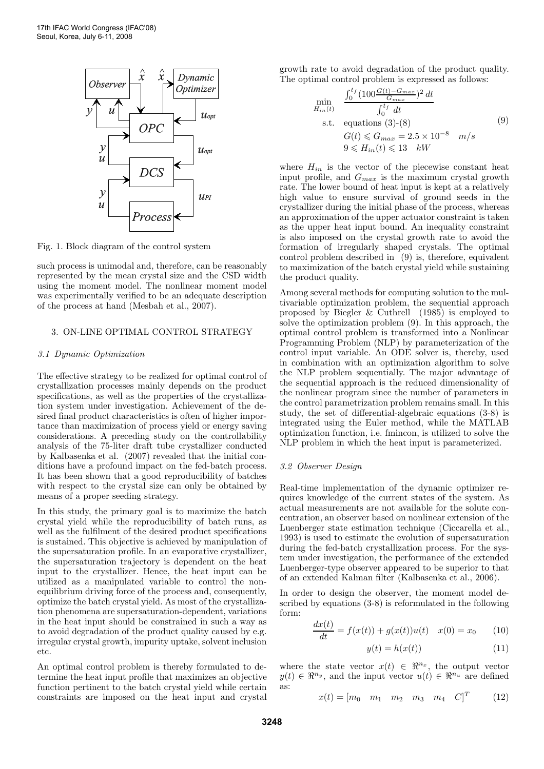

Fig. 1. Block diagram of the control system

such process is unimodal and, therefore, can be reasonably represented by the mean crystal size and the CSD width using the moment model. The nonlinear moment model was experimentally verified to be an adequate description of the process at hand (Mesbah et al., 2007).

#### 3. ON-LINE OPTIMAL CONTROL STRATEGY

#### 3.1 Dynamic Optimization

The effective strategy to be realized for optimal control of crystallization processes mainly depends on the product specifications, as well as the properties of the crystallization system under investigation. Achievement of the desired final product characteristics is often of higher importance than maximization of process yield or energy saving considerations. A preceding study on the controllability analysis of the 75-liter draft tube crystallizer conducted by Kalbasenka et al. (2007) revealed that the initial conditions have a profound impact on the fed-batch process. It has been shown that a good reproducibility of batches with respect to the crystal size can only be obtained by means of a proper seeding strategy.

In this study, the primary goal is to maximize the batch crystal yield while the reproducibility of batch runs, as well as the fulfilment of the desired product specifications is sustained. This objective is achieved by manipulation of the supersaturation profile. In an evaporative crystallizer, the supersaturation trajectory is dependent on the heat input to the crystallizer. Hence, the heat input can be utilized as a manipulated variable to control the nonequilibrium driving force of the process and, consequently, optimize the batch crystal yield. As most of the crystallization phenomena are supersaturation-dependent, variations in the heat input should be constrained in such a way as to avoid degradation of the product quality caused by e.g. irregular crystal growth, impurity uptake, solvent inclusion etc.

An optimal control problem is thereby formulated to determine the heat input profile that maximizes an objective function pertinent to the batch crystal yield while certain constraints are imposed on the heat input and crystal growth rate to avoid degradation of the product quality. The optimal control problem is expressed as follows:

$$
\min_{H_{in}(t)} \quad \frac{\int_0^{t_f} (100 \frac{G(t) - G_{max}}{G_{max}})^2 dt}{\int_0^{t_f} dt}
$$
\n
$$
\text{s.t. equations (3)-(8)} \quad G(t) \le G_{max} = 2.5 \times 10^{-8} \quad m/s
$$
\n
$$
9 \le H_{in}(t) \le 13 \quad kW
$$
\n(9)

where  $H_{in}$  is the vector of the piecewise constant heat input profile, and  $G_{max}$  is the maximum crystal growth rate. The lower bound of heat input is kept at a relatively high value to ensure survival of ground seeds in the crystallizer during the initial phase of the process, whereas an approximation of the upper actuator constraint is taken as the upper heat input bound. An inequality constraint is also imposed on the crystal growth rate to avoid the formation of irregularly shaped crystals. The optimal control problem described in (9) is, therefore, equivalent to maximization of the batch crystal yield while sustaining the product quality.

Among several methods for computing solution to the multivariable optimization problem, the sequential approach proposed by Biegler & Cuthrell (1985) is employed to solve the optimization problem (9). In this approach, the optimal control problem is transformed into a Nonlinear Programming Problem (NLP) by parameterization of the control input variable. An ODE solver is, thereby, used in combination with an optimization algorithm to solve the NLP problem sequentially. The major advantage of the sequential approach is the reduced dimensionality of the nonlinear program since the number of parameters in the control parametrization problem remains small. In this study, the set of differential-algebraic equations (3-8) is integrated using the Euler method, while the MATLAB optimization function, i.e. fmincon, is utilized to solve the NLP problem in which the heat input is parameterized.

#### 3.2 Observer Design

Real-time implementation of the dynamic optimizer requires knowledge of the current states of the system. As actual measurements are not available for the solute concentration, an observer based on nonlinear extension of the Luenberger state estimation technique (Ciccarella et al., 1993) is used to estimate the evolution of supersaturation during the fed-batch crystallization process. For the system under investigation, the performance of the extended Luenberger-type observer appeared to be superior to that of an extended Kalman filter (Kalbasenka et al., 2006).

In order to design the observer, the moment model described by equations (3-8) is reformulated in the following form:

$$
\frac{dx(t)}{dt} = f(x(t)) + g(x(t))u(t) \quad x(0) = x_0 \tag{10}
$$

$$
y(t) = h(x(t))\tag{11}
$$

where the state vector  $x(t) \in \mathbb{R}^{n_x}$ , the output vector  $y(t) \in \mathbb{R}^{n_y}$ , and the input vector  $u(t) \in \mathbb{R}^{n_u}$  are defined as:

$$
x(t) = [m_0 \quad m_1 \quad m_2 \quad m_3 \quad m_4 \quad C]^T \tag{12}
$$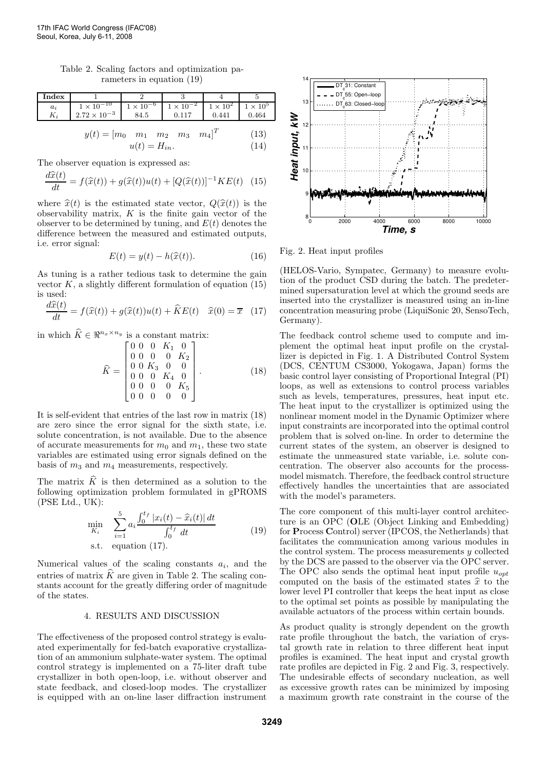Table 2. Scaling factors and optimization parameters in equation (19)

| Index |                       |                    |                                        |       |             |
|-------|-----------------------|--------------------|----------------------------------------|-------|-------------|
| $a_i$ | $1 \times 10^{-10}$   | $1 \times 10^{-6}$ | $1 \times 10^{-2}$   $1 \times 10^{2}$ |       | $\sim 10^5$ |
|       | $2.72 \times 10^{-3}$ | 84.5               | 0.117                                  | 0.441 | 0.464       |
|       |                       |                    |                                        |       |             |

$$
y(t) = [m_0 \quad m_1 \quad m_2 \quad m_3 \quad m_4]^T
$$
 (13)  

$$
u(t) = H_{in}.
$$
 (14)

The observer equation is expressed as:

$$
\frac{d\widehat{x}(t)}{dt} = f(\widehat{x}(t)) + g(\widehat{x}(t))u(t) + [Q(\widehat{x}(t))]^{-1}KE(t)
$$
 (15)

where  $\hat{x}(t)$  is the estimated state vector,  $Q(\hat{x}(t))$  is the observability matrix,  $K$  is the finite gain vector of the observer to be determined by tuning, and  $E(t)$  denotes the difference between the measured and estimated outputs, i.e. error signal:

$$
E(t) = y(t) - h(\widehat{x}(t)).
$$
\n(16)

As tuning is a rather tedious task to determine the gain vector  $K$ , a slightly different formulation of equation (15) is used:

$$
\frac{d\widehat{x}(t)}{dt} = f(\widehat{x}(t)) + g(\widehat{x}(t))u(t) + \widehat{K}E(t) \quad \widehat{x}(0) = \overline{x} \quad (17)
$$

in which  $\hat{K} \in \Re^{n_x \times n_y}$  is a constant matrix:

$$
\widehat{K} = \begin{bmatrix}\n0 & 0 & 0 & K_1 & 0 \\
0 & 0 & 0 & 0 & K_2 \\
0 & 0 & K_3 & 0 & 0 \\
0 & 0 & 0 & K_4 & 0 \\
0 & 0 & 0 & 0 & K_5 \\
0 & 0 & 0 & 0 & 0\n\end{bmatrix}.
$$
\n(18)

It is self-evident that entries of the last row in matrix (18) are zero since the error signal for the sixth state, i.e. solute concentration, is not available. Due to the absence of accurate measurements for  $m_0$  and  $m_1$ , these two state variables are estimated using error signals defined on the basis of  $m_3$  and  $m_4$  measurements, respectively.

The matrix  $\hat{K}$  is then determined as a solution to the following optimization problem formulated in gPROMS (PSE Ltd., UK):

$$
\min_{K_i} \sum_{i=1}^{5} a_i \frac{\int_0^{t_f} |x_i(t) - \hat{x}_i(t)| dt}{\int_0^{t_f} dt}
$$
\ns.t. equation (17).

\n(19)

Numerical values of the scaling constants  $a_i$ , and the entries of matrix  $\hat{K}$  are given in Table 2. The scaling constants account for the greatly differing order of magnitude of the states.

## 4. RESULTS AND DISCUSSION

The effectiveness of the proposed control strategy is evaluated experimentally for fed-batch evaporative crystallization of an ammonium sulphate-water system. The optimal control strategy is implemented on a 75-liter draft tube crystallizer in both open-loop, i.e. without observer and state feedback, and closed-loop modes. The crystallizer is equipped with an on-line laser diffraction instrument



Fig. 2. Heat input profiles

(HELOS-Vario, Sympatec, Germany) to measure evolution of the product CSD during the batch. The predetermined supersaturation level at which the ground seeds are inserted into the crystallizer is measured using an in-line concentration measuring probe (LiquiSonic 20, SensoTech, Germany).

The feedback control scheme used to compute and implement the optimal heat input profile on the crystallizer is depicted in Fig. 1. A Distributed Control System (DCS, CENTUM CS3000, Yokogawa, Japan) forms the basic control layer consisting of Proportional Integral (PI) loops, as well as extensions to control process variables such as levels, temperatures, pressures, heat input etc. The heat input to the crystallizer is optimized using the nonlinear moment model in the Dynamic Optimizer where input constraints are incorporated into the optimal control problem that is solved on-line. In order to determine the current states of the system, an observer is designed to estimate the unmeasured state variable, i.e. solute concentration. The observer also accounts for the processmodel mismatch. Therefore, the feedback control structure effectively handles the uncertainties that are associated with the model's parameters.

The core component of this multi-layer control architecture is an OPC (OLE (Object Linking and Embedding) for Process Control) server (IPCOS, the Netherlands) that facilitates the communication among various modules in the control system. The process measurements  $y$  collected by the DCS are passed to the observer via the OPC server. The OPC also sends the optimal heat input profile  $u_{opt}$ computed on the basis of the estimated states  $\hat{x}$  to the lower level PI controller that keeps the heat input as close to the optimal set points as possible by manipulating the available actuators of the process within certain bounds.

As product quality is strongly dependent on the growth rate profile throughout the batch, the variation of crystal growth rate in relation to three different heat input profiles is examined. The heat input and crystal growth rate profiles are depicted in Fig. 2 and Fig. 3, respectively. The undesirable effects of secondary nucleation, as well as excessive growth rates can be minimized by imposing a maximum growth rate constraint in the course of the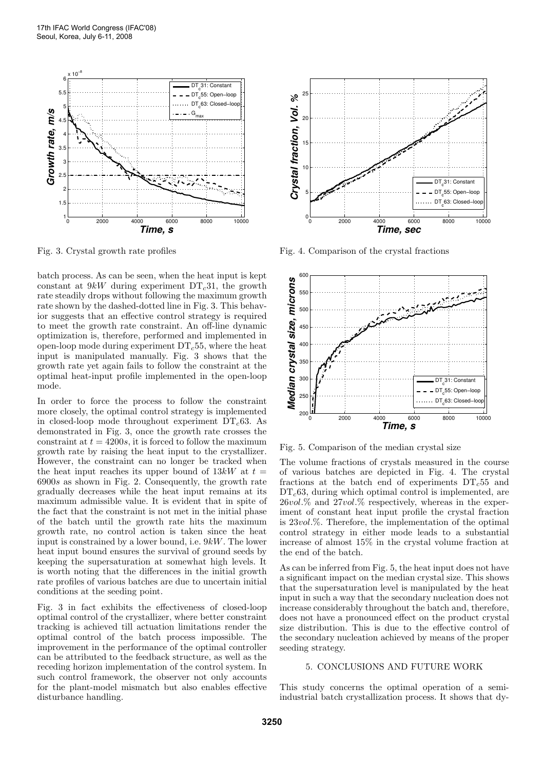

Fig. 3. Crystal growth rate profiles

batch process. As can be seen, when the heat input is kept constant at  $9kW$  during experiment DT<sub>c</sub>31, the growth rate steadily drops without following the maximum growth rate shown by the dashed-dotted line in Fig. 3. This behavior suggests that an effective control strategy is required to meet the growth rate constraint. An off-line dynamic optimization is, therefore, performed and implemented in open-loop mode during experiment  $DT<sub>c</sub>55$ , where the heat input is manipulated manually. Fig. 3 shows that the growth rate yet again fails to follow the constraint at the optimal heat-input profile implemented in the open-loop mode.

In order to force the process to follow the constraint more closely, the optimal control strategy is implemented in closed-loop mode throughout experiment  $DT<sub>c</sub>63$ . As demonstrated in Fig. 3, once the growth rate crosses the constraint at  $t = 4200s$ , it is forced to follow the maximum growth rate by raising the heat input to the crystallizer. However, the constraint can no longer be tracked when the heat input reaches its upper bound of  $13kW$  at  $t =$ 6900s as shown in Fig. 2. Consequently, the growth rate gradually decreases while the heat input remains at its maximum admissible value. It is evident that in spite of the fact that the constraint is not met in the initial phase of the batch until the growth rate hits the maximum growth rate, no control action is taken since the heat input is constrained by a lower bound, i.e. 9kW. The lower heat input bound ensures the survival of ground seeds by keeping the supersaturation at somewhat high levels. It is worth noting that the differences in the initial growth rate profiles of various batches are due to uncertain initial conditions at the seeding point.

Fig. 3 in fact exhibits the effectiveness of closed-loop optimal control of the crystallizer, where better constraint tracking is achieved till actuation limitations render the optimal control of the batch process impossible. The improvement in the performance of the optimal controller can be attributed to the feedback structure, as well as the receding horizon implementation of the control system. In such control framework, the observer not only accounts for the plant-model mismatch but also enables effective disturbance handling.



Fig. 4. Comparison of the crystal fractions



Fig. 5. Comparison of the median crystal size

The volume fractions of crystals measured in the course of various batches are depicted in Fig. 4. The crystal fractions at the batch end of experiments  $DT<sub>c</sub>55$  and  $DT<sub>c</sub>63$ , during which optimal control is implemented, are  $26vol\%$  and  $27vol\%$  respectively, whereas in the experiment of constant heat input profile the crystal fraction is 23vol.%. Therefore, the implementation of the optimal control strategy in either mode leads to a substantial increase of almost 15% in the crystal volume fraction at the end of the batch.

As can be inferred from Fig. 5, the heat input does not have a significant impact on the median crystal size. This shows that the supersaturation level is manipulated by the heat input in such a way that the secondary nucleation does not increase considerably throughout the batch and, therefore, does not have a pronounced effect on the product crystal size distribution. This is due to the effective control of the secondary nucleation achieved by means of the proper seeding strategy.

# 5. CONCLUSIONS AND FUTURE WORK

This study concerns the optimal operation of a semiindustrial batch crystallization process. It shows that dy